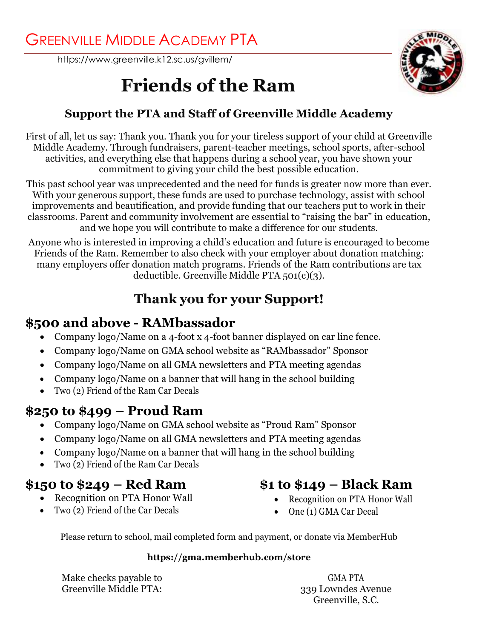<https://www.greenville.k12.sc.us/gvillem/>



# **Friends of the Ram**

### **Support the PTA and Staff of Greenville Middle Academy**

First of all, let us say: Thank you. Thank you for your tireless support of your child at Greenville Middle Academy. Through fundraisers, parent-teacher meetings, school sports, after-school activities, and everything else that happens during a school year, you have shown your commitment to giving your child the best possible education.

This past school year was unprecedented and the need for funds is greater now more than ever. With your generous support, these funds are used to purchase technology, assist with school improvements and beautification, and provide funding that our teachers put to work in their classrooms. Parent and community involvement are essential to "raising the bar" in education, and we hope you will contribute to make a difference for our students.

Anyone who is interested in improving a child's education and future is encouraged to become Friends of the Ram. Remember to also check with your employer about donation matching: many employers offer donation match programs. Friends of the Ram contributions are tax deductible. Greenville Middle PTA 501(c)(3).

## **Thank you for your Support!**

## **\$500 and above - RAMbassador**

- Company logo/Name on a 4-foot x 4-foot banner displayed on car line fence.
- Company logo/Name on GMA school website as "RAMbassador" Sponsor
- Company logo/Name on all GMA newsletters and PTA meeting agendas
- Company logo/Name on a banner that will hang in the school building
- Two (2) Friend of the Ram Car Decals

## **\$250 to \$499 – Proud Ram**

- Company logo/Name on GMA school website as "Proud Ram" Sponsor
- Company logo/Name on all GMA newsletters and PTA meeting agendas
- Company logo/Name on a banner that will hang in the school building
- Two (2) Friend of the Ram Car Decals

## **\$150 to \$249 – Red Ram**

- Recognition on PTA Honor Wall
- Two (2) Friend of the Car Decals
- **\$1 to \$149 – Black Ram**
	- Recognition on PTA Honor Wall
	- One (1) GMA Car Decal

Please return to school, mail completed form and payment, or donate via MemberHub

### **https://gma.memberhub.com/store**

Make checks payable to Greenville Middle PTA:

GMA PTA 339 Lowndes Avenue Greenville, S.C.